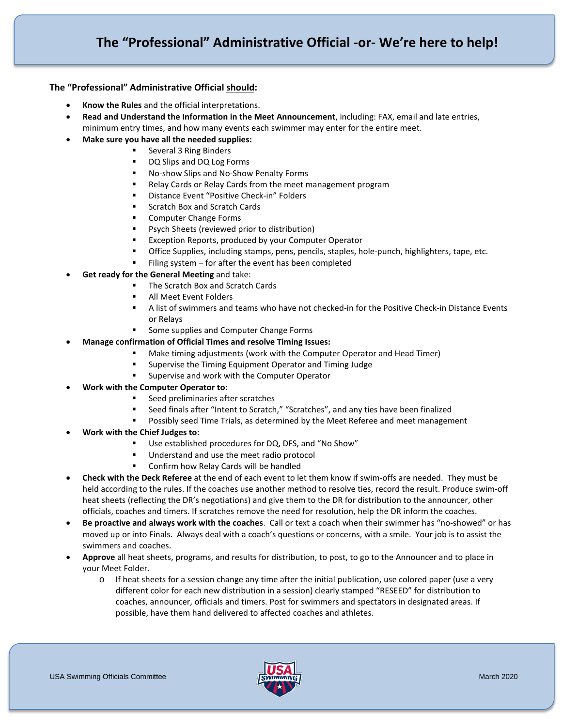## **The "Professional" Administrative Official should:**

- **Know the Rules** and the official interpretations.
- **Read and Understand the Information in the Meet Announcement**, including: FAX, email and late entries, minimum entry times, and how many events each swimmer may enter for the entire meet.
- **Make sure you have all the needed supplies:**
	- Several 3 Ring Binders
	- DQ Slips and DQ Log Forms
	- No-show Slips and No-Show Penalty Forms
	- Relay Cards or Relay Cards from the meet management program
	- Distance Event "Positive Check-in" Folders
	- **Scratch Box and Scratch Cards**
	- **Computer Change Forms**
	- **Part Properts (reviewed prior to distribution)**
	- Exception Reports, produced by your Computer Operator
	- Office Supplies, including stamps, pens, pencils, staples, hole-punch, highlighters, tape, etc.
	- Filing system  $-$  for after the event has been completed
- **Get ready for the General Meeting** and take:
	- The Scratch Box and Scratch Cards
	- All Meet Event Folders
	- A list of swimmers and teams who have not checked-in for the Positive Check-in Distance Events or Relays
	- Some supplies and Computer Change Forms
- **Manage confirmation of Official Times and resolve Timing Issues:**
	- Make timing adjustments (work with the Computer Operator and Head Timer)
	- Supervise the Timing Equipment Operator and Timing Judge
	- **EXEC** Supervise and work with the Computer Operator
- **Work with the Computer Operator to:**
	- Seed preliminaries after scratches
	- Seed finals after "Intent to Scratch," "Scratches", and any ties have been finalized
	- Possibly seed Time Trials, as determined by the Meet Referee and meet management
- **Work with the Chief Judges to:**
	- Use established procedures for DQ, DFS, and "No Show"
	- Understand and use the meet radio protocol
	- **EXECONFILM HOW Relay Cards will be handled**
- **Check with the Deck Referee** at the end of each event to let them know if swim-offs are needed. They must be held according to the rules. If the coaches use another method to resolve ties, record the result. Produce swim-off heat sheets (reflecting the DR's negotiations) and give them to the DR for distribution to the announcer, other officials, coaches and timers. If scratches remove the need for resolution, help the DR inform the coaches.
- **Be proactive and always work with the coaches**. Call or text a coach when their swimmer has "no-showed" or has moved up or into Finals. Always deal with a coach's questions or concerns, with a smile. Your job is to assist the swimmers and coaches.
- **Approve** all heat sheets, programs, and results for distribution, to post, to go to the Announcer and to place in your Meet Folder.
	- o If heat sheets for a session change any time after the initial publication, use colored paper (use a very different color for each new distribution in a session) clearly stamped "RESEED" for distribution to coaches, announcer, officials and timers. Post for swimmers and spectators in designated areas. If possible, have them hand delivered to affected coaches and athletes.

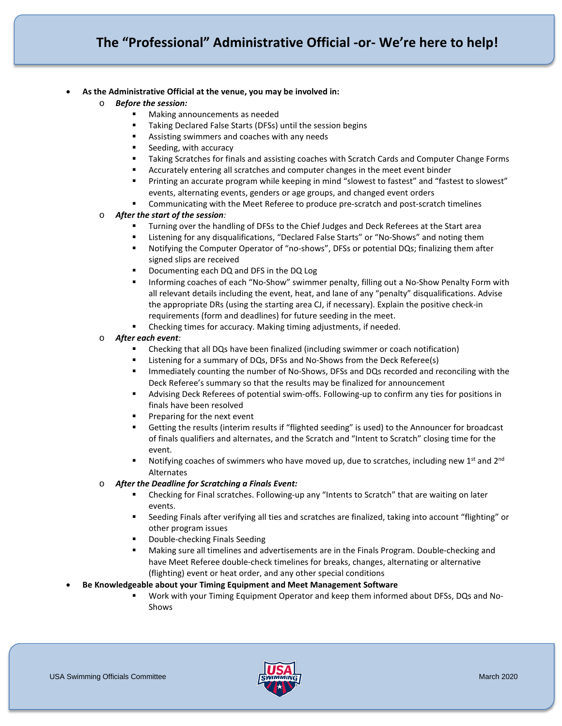- **As the Administrative Official at the venue, you may be involved in:**
	- o *Before the session:*
		- Making announcements as needed
		- **Taking Declared False Starts (DFSs) until the session begins**
		- **Assisting swimmers and coaches with any needs**
		- Seeding, with accuracy
		- Taking Scratches for finals and assisting coaches with Scratch Cards and Computer Change Forms
		- Accurately entering all scratches and computer changes in the meet event binder
		- Printing an accurate program while keeping in mind "slowest to fastest" and "fastest to slowest" events, alternating events, genders or age groups, and changed event orders
		- Communicating with the Meet Referee to produce pre-scratch and post-scratch timelines

## o *After the start of the session:*

- Turning over the handling of DFSs to the Chief Judges and Deck Referees at the Start area
- Listening for any disqualifications, "Declared False Starts" or "No-Shows" and noting them
- Notifying the Computer Operator of "no-shows", DFSs or potential DQs; finalizing them after signed slips are received
- **•** Documenting each DQ and DFS in the DQ Log
- **Informing coaches of each "No-Show" swimmer penalty, filling out a No-Show Penalty Form with** all relevant details including the event, heat, and lane of any "penalty" disqualifications. Advise the appropriate DRs (using the starting area CJ, if necessary). Explain the positive check-in requirements (form and deadlines) for future seeding in the meet.
- Checking times for accuracy. Making timing adjustments, if needed.

## o *After each event:*

- Checking that all DQs have been finalized (including swimmer or coach notification)
- **EXECT** Listening for a summary of DQs, DFSs and No-Shows from the Deck Referee(s)
- **IMMED 19 Immediately counting the number of No-Shows, DFSs and DQs recorded and reconciling with the** Deck Referee's summary so that the results may be finalized for announcement
- Advising Deck Referees of potential swim-offs. Following-up to confirm any ties for positions in finals have been resolved
- Preparing for the next event
- Getting the results (interim results if "flighted seeding" is used) to the Announcer for broadcast of finals qualifiers and alternates, and the Scratch and "Intent to Scratch" closing time for the event.
- Notifying coaches of swimmers who have moved up, due to scratches, including new  $1<sup>st</sup>$  and  $2<sup>nd</sup>$ Alternates
- o *After the Deadline for Scratching a Finals Event:*
	- Checking for Final scratches. Following-up any "Intents to Scratch" that are waiting on later events.
	- Seeding Finals after verifying all ties and scratches are finalized, taking into account "flighting" or other program issues
	- Double-checking Finals Seeding
	- Making sure all timelines and advertisements are in the Finals Program. Double-checking and have Meet Referee double-check timelines for breaks, changes, alternating or alternative (flighting) event or heat order, and any other special conditions
- **Be Knowledgeable about your Timing Equipment and Meet Management Software**
	- Work with your Timing Equipment Operator and keep them informed about DFSs, DQs and No-Shows